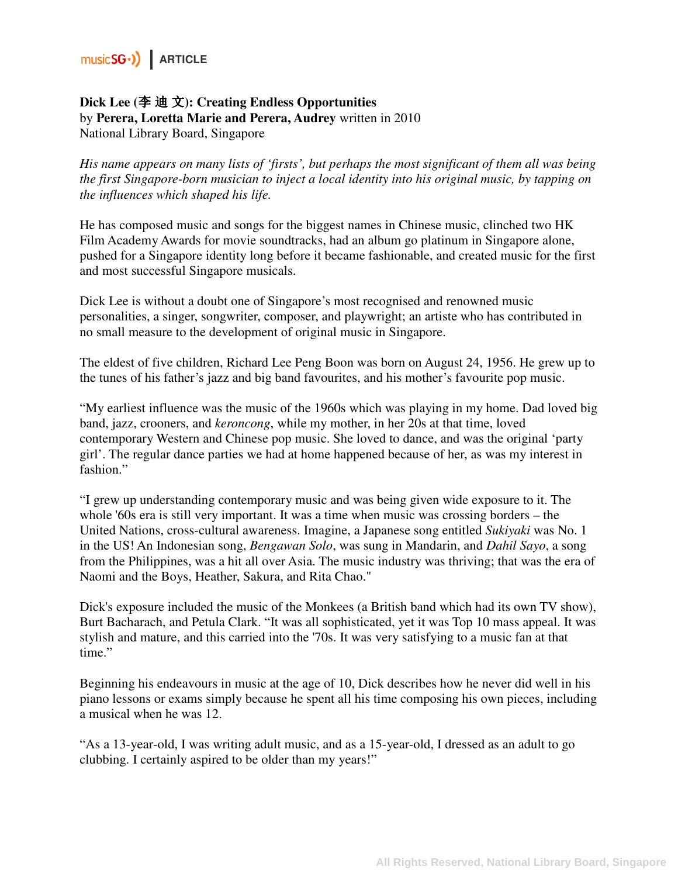### **Dick Lee (**李 迪 文**): Creating Endless Opportunities**  by **Perera, Loretta Marie and Perera, Audrey** written in 2010 National Library Board, Singapore

*His name appears on many lists of 'firsts', but perhaps the most significant of them all was being the first Singapore-born musician to inject a local identity into his original music, by tapping on the influences which shaped his life.* 

He has composed music and songs for the biggest names in Chinese music, clinched two HK Film Academy Awards for movie soundtracks, had an album go platinum in Singapore alone, pushed for a Singapore identity long before it became fashionable, and created music for the first and most successful Singapore musicals.

Dick Lee is without a doubt one of Singapore's most recognised and renowned music personalities, a singer, songwriter, composer, and playwright; an artiste who has contributed in no small measure to the development of original music in Singapore.

The eldest of five children, Richard Lee Peng Boon was born on August 24, 1956. He grew up to the tunes of his father's jazz and big band favourites, and his mother's favourite pop music.

"My earliest influence was the music of the 1960s which was playing in my home. Dad loved big band, jazz, crooners, and *keroncong*, while my mother, in her 20s at that time, loved contemporary Western and Chinese pop music. She loved to dance, and was the original 'party girl'. The regular dance parties we had at home happened because of her, as was my interest in fashion."

"I grew up understanding contemporary music and was being given wide exposure to it. The whole '60s era is still very important. It was a time when music was crossing borders – the United Nations, cross-cultural awareness. Imagine, a Japanese song entitled *Sukiyaki* was No. 1 in the US! An Indonesian song, *Bengawan Solo*, was sung in Mandarin, and *Dahil Sayo*, a song from the Philippines, was a hit all over Asia. The music industry was thriving; that was the era of Naomi and the Boys, Heather, Sakura, and Rita Chao."

Dick's exposure included the music of the Monkees (a British band which had its own TV show), Burt Bacharach, and Petula Clark. "It was all sophisticated, yet it was Top 10 mass appeal. It was stylish and mature, and this carried into the '70s. It was very satisfying to a music fan at that time."

Beginning his endeavours in music at the age of 10, Dick describes how he never did well in his piano lessons or exams simply because he spent all his time composing his own pieces, including a musical when he was 12.

"As a 13-year-old, I was writing adult music, and as a 15-year-old, I dressed as an adult to go clubbing. I certainly aspired to be older than my years!"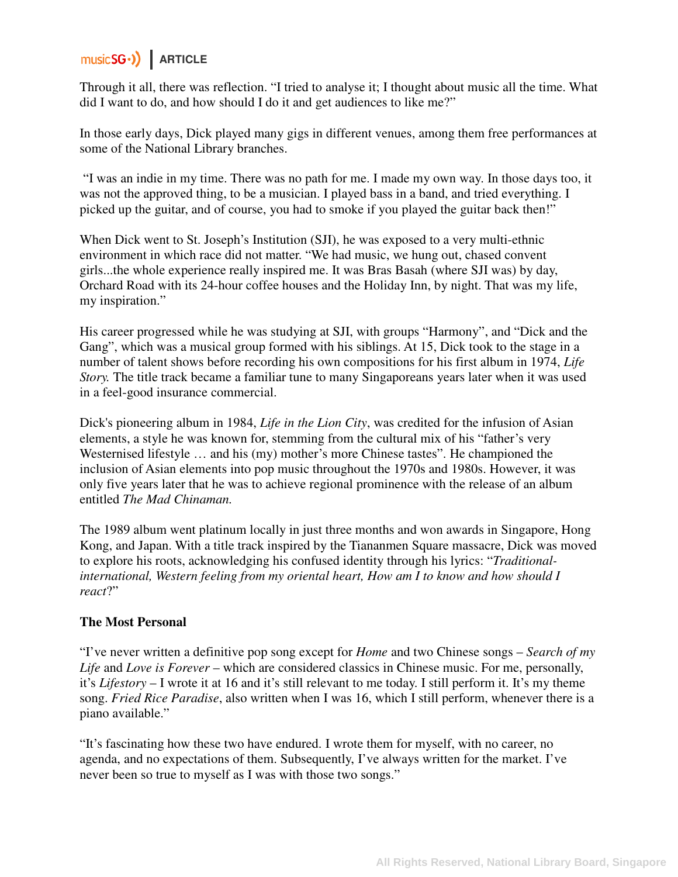Through it all, there was reflection. "I tried to analyse it; I thought about music all the time. What did I want to do, and how should I do it and get audiences to like me?"

In those early days, Dick played many gigs in different venues, among them free performances at some of the National Library branches.

 "I was an indie in my time. There was no path for me. I made my own way. In those days too, it was not the approved thing, to be a musician. I played bass in a band, and tried everything. I picked up the guitar, and of course, you had to smoke if you played the guitar back then!"

When Dick went to St. Joseph's Institution (SJI), he was exposed to a very multi-ethnic environment in which race did not matter. "We had music, we hung out, chased convent girls...the whole experience really inspired me. It was Bras Basah (where SJI was) by day, Orchard Road with its 24-hour coffee houses and the Holiday Inn, by night. That was my life, my inspiration."

His career progressed while he was studying at SJI, with groups "Harmony", and "Dick and the Gang", which was a musical group formed with his siblings. At 15, Dick took to the stage in a number of talent shows before recording his own compositions for his first album in 1974, *Life Story.* The title track became a familiar tune to many Singaporeans years later when it was used in a feel-good insurance commercial.

Dick's pioneering album in 1984, *Life in the Lion City*, was credited for the infusion of Asian elements, a style he was known for, stemming from the cultural mix of his "father's very Westernised lifestyle … and his (my) mother's more Chinese tastes". He championed the inclusion of Asian elements into pop music throughout the 1970s and 1980s. However, it was only five years later that he was to achieve regional prominence with the release of an album entitled *The Mad Chinaman.* 

The 1989 album went platinum locally in just three months and won awards in Singapore, Hong Kong, and Japan. With a title track inspired by the Tiananmen Square massacre, Dick was moved to explore his roots, acknowledging his confused identity through his lyrics: "*Traditionalinternational, Western feeling from my oriental heart, How am I to know and how should I react*?"

### **The Most Personal**

"I've never written a definitive pop song except for *Home* and two Chinese songs – *Search of my Life* and *Love is Forever* – which are considered classics in Chinese music. For me, personally, it's *Lifestory* – I wrote it at 16 and it's still relevant to me today. I still perform it. It's my theme song. *Fried Rice Paradise*, also written when I was 16, which I still perform, whenever there is a piano available."

"It's fascinating how these two have endured. I wrote them for myself, with no career, no agenda, and no expectations of them. Subsequently, I've always written for the market. I've never been so true to myself as I was with those two songs."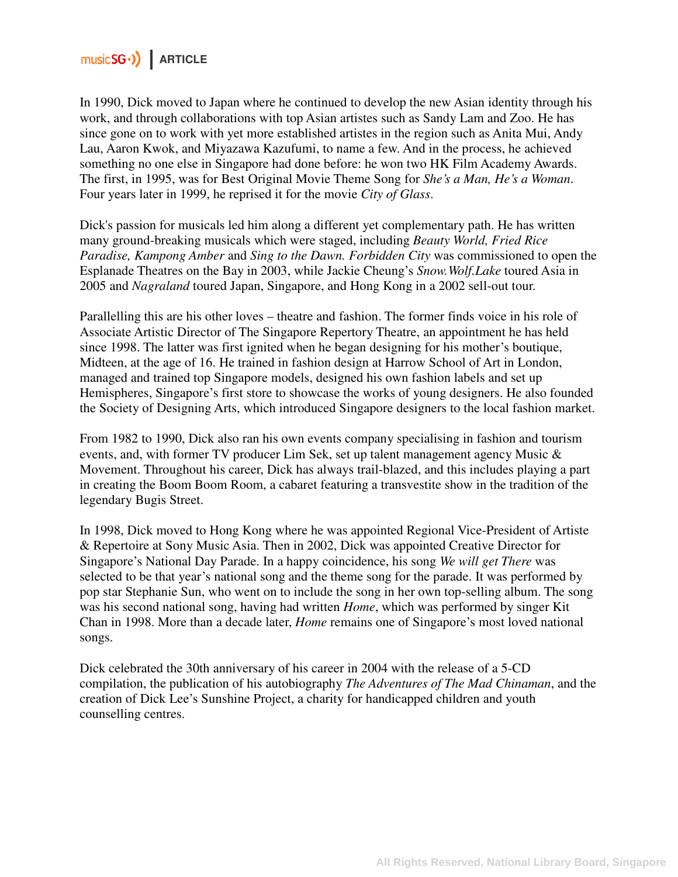In 1990, Dick moved to Japan where he continued to develop the new Asian identity through his work, and through collaborations with top Asian artistes such as Sandy Lam and Zoo. He has since gone on to work with yet more established artistes in the region such as Anita Mui, Andy Lau, Aaron Kwok, and Miyazawa Kazufumi, to name a few. And in the process, he achieved something no one else in Singapore had done before: he won two HK Film Academy Awards. The first, in 1995, was for Best Original Movie Theme Song for *She's a Man, He's a Woman*. Four years later in 1999, he reprised it for the movie *City of Glass*.

Dick's passion for musicals led him along a different yet complementary path. He has written many ground-breaking musicals which were staged, including *Beauty World, Fried Rice Paradise, Kampong Amber* and *Sing to the Dawn. Forbidden City* was commissioned to open the Esplanade Theatres on the Bay in 2003, while Jackie Cheung's *Snow.Wolf.Lake* toured Asia in 2005 and *Nagraland* toured Japan, Singapore, and Hong Kong in a 2002 sell-out tour.

Parallelling this are his other loves – theatre and fashion. The former finds voice in his role of Associate Artistic Director of The Singapore Repertory Theatre, an appointment he has held since 1998. The latter was first ignited when he began designing for his mother's boutique, Midteen, at the age of 16. He trained in fashion design at Harrow School of Art in London, managed and trained top Singapore models, designed his own fashion labels and set up Hemispheres, Singapore's first store to showcase the works of young designers. He also founded the Society of Designing Arts, which introduced Singapore designers to the local fashion market.

From 1982 to 1990, Dick also ran his own events company specialising in fashion and tourism events, and, with former TV producer Lim Sek, set up talent management agency Music & Movement. Throughout his career, Dick has always trail-blazed, and this includes playing a part in creating the Boom Boom Room, a cabaret featuring a transvestite show in the tradition of the legendary Bugis Street.

In 1998, Dick moved to Hong Kong where he was appointed Regional Vice-President of Artiste & Repertoire at Sony Music Asia. Then in 2002, Dick was appointed Creative Director for Singapore's National Day Parade. In a happy coincidence, his song *We will get There* was selected to be that year's national song and the theme song for the parade. It was performed by pop star Stephanie Sun, who went on to include the song in her own top-selling album. The song was his second national song, having had written *Home*, which was performed by singer Kit Chan in 1998. More than a decade later, *Home* remains one of Singapore's most loved national songs.

Dick celebrated the 30th anniversary of his career in 2004 with the release of a 5-CD compilation, the publication of his autobiography *The Adventures of The Mad Chinaman*, and the creation of Dick Lee's Sunshine Project, a charity for handicapped children and youth counselling centres.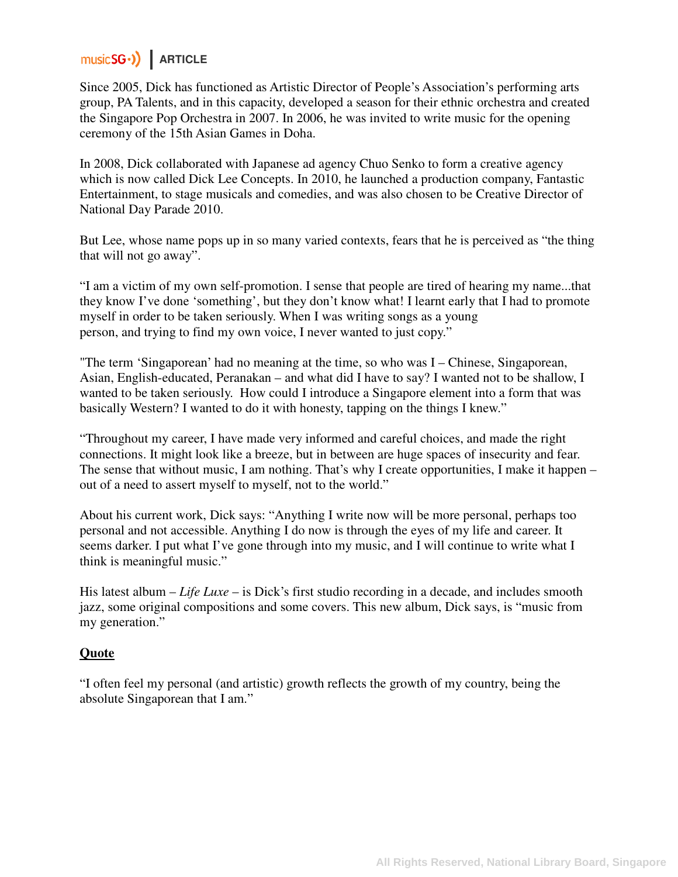Since 2005, Dick has functioned as Artistic Director of People's Association's performing arts group, PA Talents, and in this capacity, developed a season for their ethnic orchestra and created the Singapore Pop Orchestra in 2007. In 2006, he was invited to write music for the opening ceremony of the 15th Asian Games in Doha.

In 2008, Dick collaborated with Japanese ad agency Chuo Senko to form a creative agency which is now called Dick Lee Concepts. In 2010, he launched a production company, Fantastic Entertainment, to stage musicals and comedies, and was also chosen to be Creative Director of National Day Parade 2010.

But Lee, whose name pops up in so many varied contexts, fears that he is perceived as "the thing that will not go away".

"I am a victim of my own self-promotion. I sense that people are tired of hearing my name...that they know I've done 'something', but they don't know what! I learnt early that I had to promote myself in order to be taken seriously. When I was writing songs as a young person, and trying to find my own voice, I never wanted to just copy."

"The term 'Singaporean' had no meaning at the time, so who was I – Chinese, Singaporean, Asian, English-educated, Peranakan – and what did I have to say? I wanted not to be shallow, I wanted to be taken seriously. How could I introduce a Singapore element into a form that was basically Western? I wanted to do it with honesty, tapping on the things I knew."

"Throughout my career, I have made very informed and careful choices, and made the right connections. It might look like a breeze, but in between are huge spaces of insecurity and fear. The sense that without music, I am nothing. That's why I create opportunities, I make it happen – out of a need to assert myself to myself, not to the world."

About his current work, Dick says: "Anything I write now will be more personal, perhaps too personal and not accessible. Anything I do now is through the eyes of my life and career. It seems darker. I put what I've gone through into my music, and I will continue to write what I think is meaningful music."

His latest album – *Life Luxe* – is Dick's first studio recording in a decade, and includes smooth jazz, some original compositions and some covers. This new album, Dick says, is "music from my generation."

### **Quote**

"I often feel my personal (and artistic) growth reflects the growth of my country, being the absolute Singaporean that I am."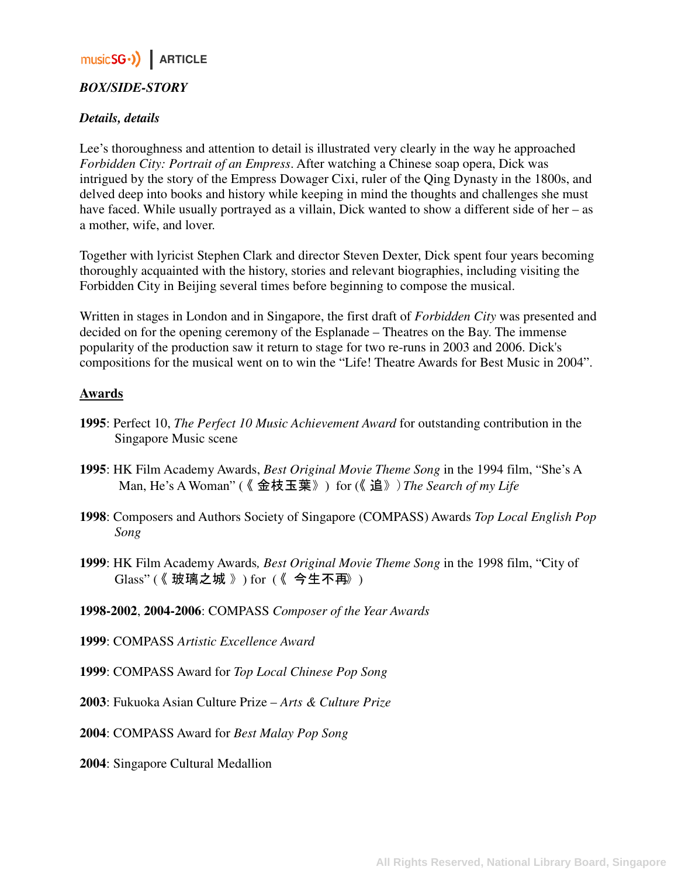### *BOX/SIDE-STORY*

#### *Details, details*

Lee's thoroughness and attention to detail is illustrated very clearly in the way he approached *Forbidden City: Portrait of an Empress*. After watching a Chinese soap opera, Dick was intrigued by the story of the Empress Dowager Cixi, ruler of the Qing Dynasty in the 1800s, and delved deep into books and history while keeping in mind the thoughts and challenges she must have faced. While usually portrayed as a villain, Dick wanted to show a different side of her – as a mother, wife, and lover.

Together with lyricist Stephen Clark and director Steven Dexter, Dick spent four years becoming thoroughly acquainted with the history, stories and relevant biographies, including visiting the Forbidden City in Beijing several times before beginning to compose the musical.

Written in stages in London and in Singapore, the first draft of *Forbidden City* was presented and decided on for the opening ceremony of the Esplanade – Theatres on the Bay. The immense popularity of the production saw it return to stage for two re-runs in 2003 and 2006. Dick's compositions for the musical went on to win the "Life! Theatre Awards for Best Music in 2004".

#### **Awards**

- **1995**: Perfect 10, *The Perfect 10 Music Achievement Award* for outstanding contribution in the Singapore Music scene
- **1995**: HK Film Academy Awards, *Best Original Movie Theme Song* in the 1994 film, "She's A Man, He's A Woman" ( 《 金枝玉葉 》) for (《 追》)*The Search of my Life*
- **1998**: Composers and Authors Society of Singapore (COMPASS) Awards *Top Local English Pop Song*
- **1999**: HK Film Academy Awards*, Best Original Movie Theme Song* in the 1998 film, "City of Glass" (《 玻璃之城 》) for (《 今生不再》)
- **1998-2002**, **2004-2006**: COMPASS *Composer of the Year Awards*
- **1999**: COMPASS *Artistic Excellence Award*
- **1999**: COMPASS Award for *Top Local Chinese Pop Song*
- **2003**: Fukuoka Asian Culture Prize *Arts & Culture Prize*
- **2004**: COMPASS Award for *Best Malay Pop Song*
- **2004**: Singapore Cultural Medallion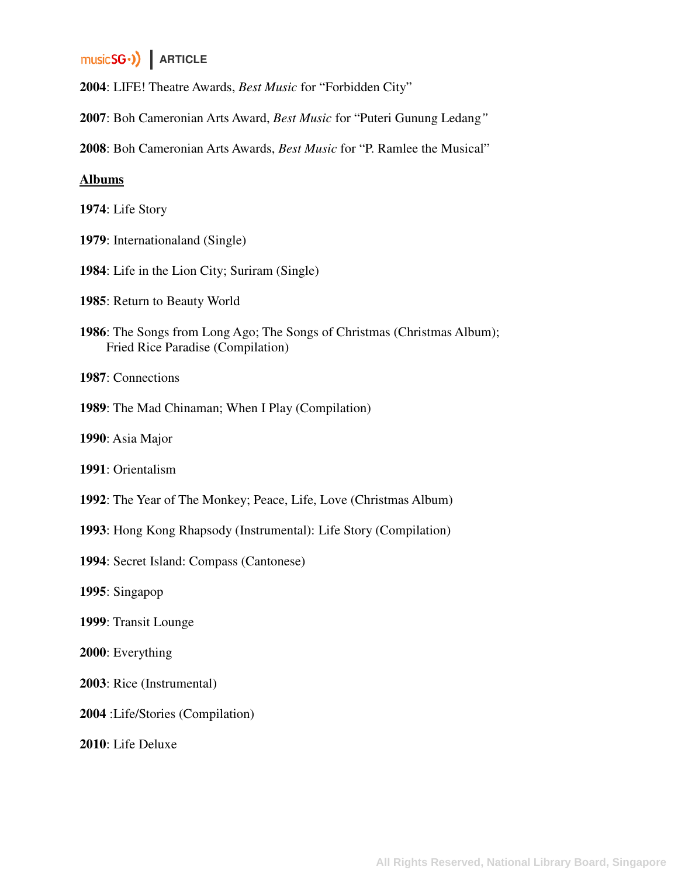: LIFE! Theatre Awards, *Best Music* for "Forbidden City"

: Boh Cameronian Arts Award, *Best Music* for "Puteri Gunung Ledang*"* 

: Boh Cameronian Arts Awards, *Best Music* for "P. Ramlee the Musical"

#### **Albums**

: Life Story

- : Internationaland (Single)
- : Life in the Lion City; Suriram (Single)
- : Return to Beauty World
- : The Songs from Long Ago; The Songs of Christmas (Christmas Album); Fried Rice Paradise (Compilation)

: Connections

: The Mad Chinaman; When I Play (Compilation)

: Asia Major

: Orientalism

- : The Year of The Monkey; Peace, Life, Love (Christmas Album)
- : Hong Kong Rhapsody (Instrumental): Life Story (Compilation)
- : Secret Island: Compass (Cantonese)
- : Singapop
- : Transit Lounge
- : Everything
- : Rice (Instrumental)
- :Life/Stories (Compilation)

: Life Deluxe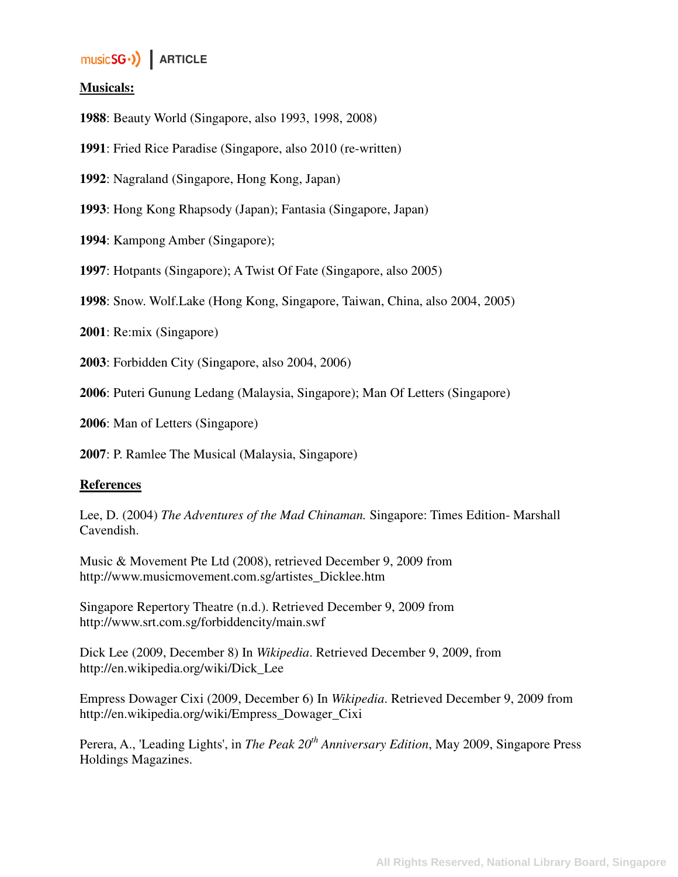### **Musicals:**

**1988**: Beauty World (Singapore, also 1993, 1998, 2008)

**1991**: Fried Rice Paradise (Singapore, also 2010 (re-written)

**1992**: Nagraland (Singapore, Hong Kong, Japan)

**1993**: Hong Kong Rhapsody (Japan); Fantasia (Singapore, Japan)

**1994**: Kampong Amber (Singapore);

**1997**: Hotpants (Singapore); A Twist Of Fate (Singapore, also 2005)

**1998**: Snow. Wolf.Lake (Hong Kong, Singapore, Taiwan, China, also 2004, 2005)

**2001**: Re:mix (Singapore)

**2003**: Forbidden City (Singapore, also 2004, 2006)

**2006**: Puteri Gunung Ledang (Malaysia, Singapore); Man Of Letters (Singapore)

**2006**: Man of Letters (Singapore)

**2007**: P. Ramlee The Musical (Malaysia, Singapore)

#### **References**

Lee, D. (2004) *The Adventures of the Mad Chinaman.* Singapore: Times Edition- Marshall Cavendish.

Music & Movement Pte Ltd (2008), retrieved December 9, 2009 from http://www.musicmovement.com.sg/artistes\_Dicklee.htm

Singapore Repertory Theatre (n.d.). Retrieved December 9, 2009 from http://www.srt.com.sg/forbiddencity/main.swf

Dick Lee (2009, December 8) In *Wikipedia*. Retrieved December 9, 2009, from http://en.wikipedia.org/wiki/Dick\_Lee

Empress Dowager Cixi (2009, December 6) In *Wikipedia*. Retrieved December 9, 2009 from http://en.wikipedia.org/wiki/Empress\_Dowager\_Cixi

Perera, A., 'Leading Lights', in *The Peak 20th Anniversary Edition*, May 2009, Singapore Press Holdings Magazines.